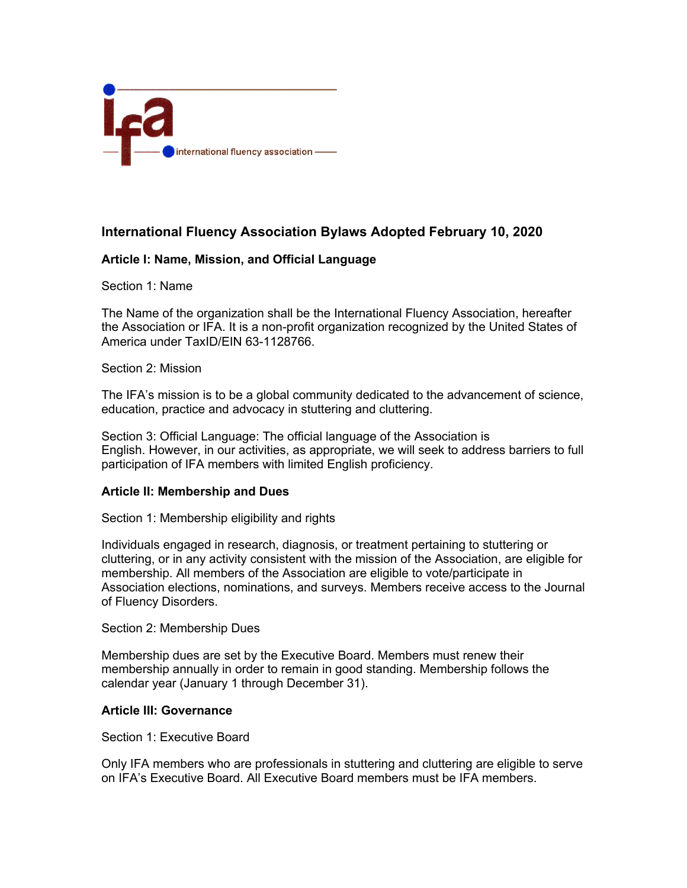

# **International Fluency Association Bylaws Adopted February 10, 2020**

## **Article I: Name, Mission, and Official Language**

Section 1: Name

The Name of the organization shall be the International Fluency Association, hereafter the Association or IFA. It is a non-profit organization recognized by the United States of America under TaxID/EIN 63-1128766.

Section 2: Mission

The IFA's mission is to be a global community dedicated to the advancement of science, education, practice and advocacy in stuttering and cluttering.

Section 3: Official Language: The official language of the Association is English. However, in our activities, as appropriate, we will seek to address barriers to full participation of IFA members with limited English proficiency.

#### **Article II: Membership and Dues**

Section 1: Membership eligibility and rights

Individuals engaged in research, diagnosis, or treatment pertaining to stuttering or cluttering, or in any activity consistent with the mission of the Association, are eligible for membership. All members of the Association are eligible to vote/participate in Association elections, nominations, and surveys. Members receive access to the Journal of Fluency Disorders.

Section 2: Membership Dues

Membership dues are set by the Executive Board. Members must renew their membership annually in order to remain in good standing. Membership follows the calendar year (January 1 through December 31).

#### **Article III: Governance**

Section 1: Executive Board

Only IFA members who are professionals in stuttering and cluttering are eligible to serve on IFA's Executive Board. All Executive Board members must be IFA members.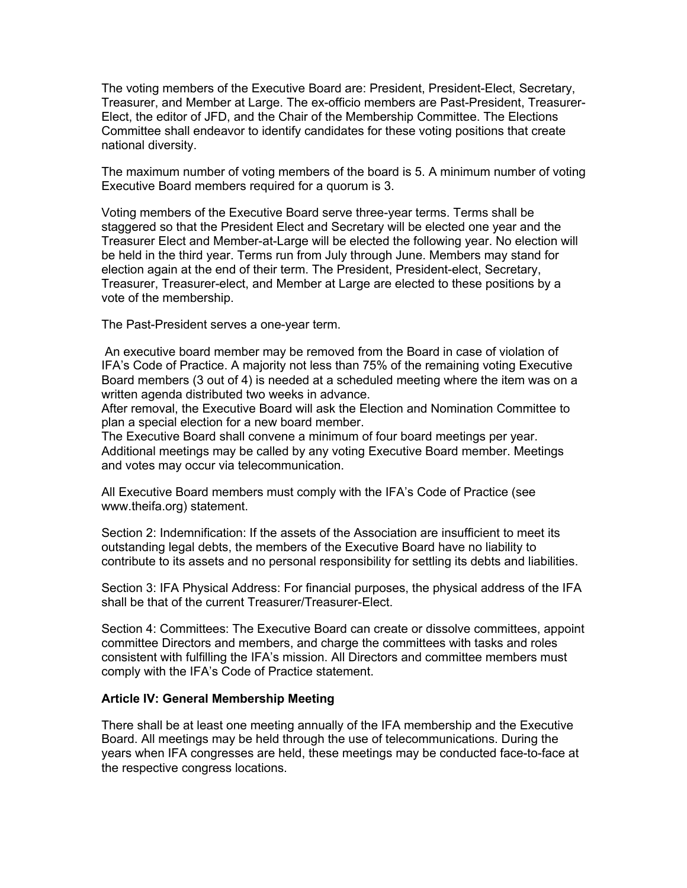The voting members of the Executive Board are: President, President-Elect, Secretary, Treasurer, and Member at Large. The ex-officio members are Past-President, Treasurer-Elect, the editor of JFD, and the Chair of the Membership Committee. The Elections Committee shall endeavor to identify candidates for these voting positions that create national diversity.

The maximum number of voting members of the board is 5. A minimum number of voting Executive Board members required for a quorum is 3.

Voting members of the Executive Board serve three-year terms. Terms shall be staggered so that the President Elect and Secretary will be elected one year and the Treasurer Elect and Member-at-Large will be elected the following year. No election will be held in the third year. Terms run from July through June. Members may stand for election again at the end of their term. The President, President-elect, Secretary, Treasurer, Treasurer-elect, and Member at Large are elected to these positions by a vote of the membership.

The Past-President serves a one-year term.

An executive board member may be removed from the Board in case of violation of IFA's Code of Practice. A majority not less than 75% of the remaining voting Executive Board members (3 out of 4) is needed at a scheduled meeting where the item was on a written agenda distributed two weeks in advance.

After removal, the Executive Board will ask the Election and Nomination Committee to plan a special election for a new board member.

The Executive Board shall convene a minimum of four board meetings per year. Additional meetings may be called by any voting Executive Board member. Meetings and votes may occur via telecommunication.

All Executive Board members must comply with the IFA's Code of Practice (see www.theifa.org) statement.

Section 2: Indemnification: If the assets of the Association are insufficient to meet its outstanding legal debts, the members of the Executive Board have no liability to contribute to its assets and no personal responsibility for settling its debts and liabilities.

Section 3: IFA Physical Address: For financial purposes, the physical address of the IFA shall be that of the current Treasurer/Treasurer-Elect.

Section 4: Committees: The Executive Board can create or dissolve committees, appoint committee Directors and members, and charge the committees with tasks and roles consistent with fulfilling the IFA's mission. All Directors and committee members must comply with the IFA's Code of Practice statement.

#### **Article IV: General Membership Meeting**

There shall be at least one meeting annually of the IFA membership and the Executive Board. All meetings may be held through the use of telecommunications. During the years when IFA congresses are held, these meetings may be conducted face-to-face at the respective congress locations.